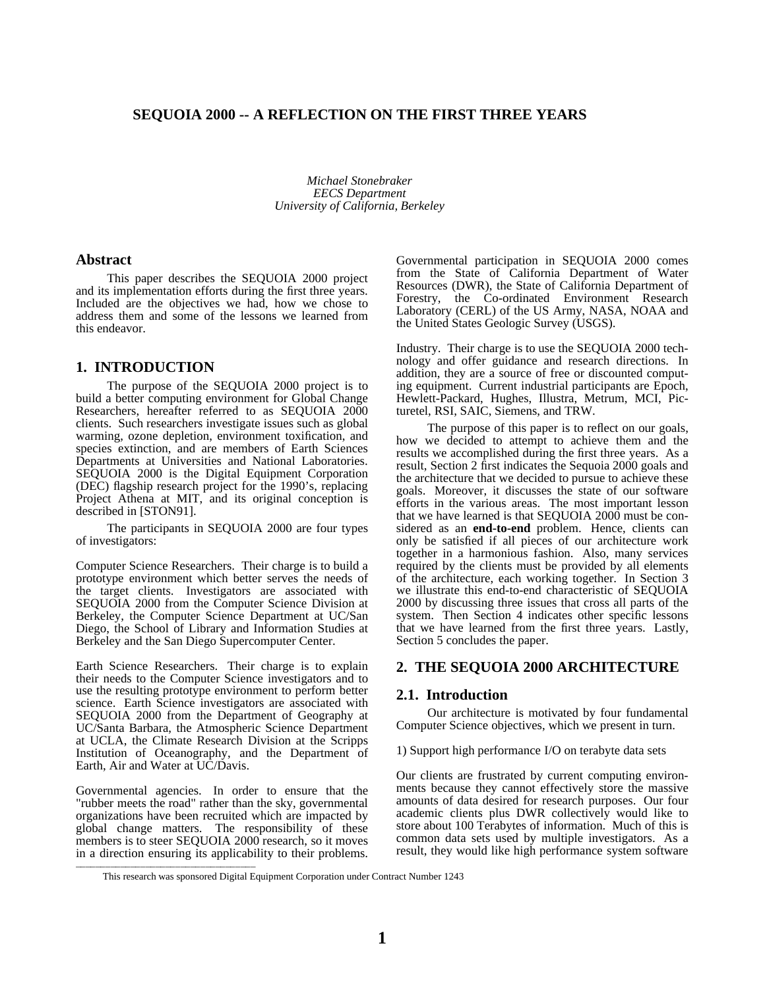## **SEQUOIA 2000 -- A REFLECTION ON THE FIRST THREE YEARS**

*Michael Stonebraker EECS Department University of California, Berkeley*

## **Abstract**

This paper describes the SEQUOIA 2000 project and its implementation efforts during the first three years. Included are the objectives we had, how we chose to address them and some of the lessons we learned from this endeavor.

# **1. INTRODUCTION**

The purpose of the SEQUOIA 2000 project is to build a better computing environment for Global Change Researchers, hereafter referred to as SEQUOIA 2000 clients. Such researchers investigate issues such as global warming, ozone depletion, environment toxification, and species extinction, and are members of Earth Sciences Departments at Universities and National Laboratories. SEQUOIA 2000 is the Digital Equipment Corporation (DEC) flagship research project for the 1990's, replacing Project Athena at MIT, and its original conception is described in [STON91].

The participants in SEQUOIA 2000 are four types of investigators:

Computer Science Researchers. Their charge is to build a prototype environment which better serves the needs of the target clients. Investigators are associated with SEQUOIA 2000 from the Computer Science Division at Berkeley, the Computer Science Department at UC/San Diego, the School of Library and Information Studies at Berkeley and the San Diego Supercomputer Center.

Earth Science Researchers. Their charge is to explain their needs to the Computer Science investigators and to use the resulting prototype environment to perform better science. Earth Science investigators are associated with SEQUOIA 2000 from the Department of Geography at UC/Santa Barbara, the Atmospheric Science Department at UCLA, the Climate Research Division at the Scripps Institution of Oceanography, and the Department of Earth, Air and Water at UC/Davis.

Governmental agencies. In order to ensure that the "rubber meets the road" rather than the sky, governmental organizations have been recruited which are impacted by global change matters. The responsibility of these members is to steer SEOUOIA 2000 research, so it moves in a direction ensuring its applicability to their problems.

hhhhhhhhhhhhhhhhhhhhhhhhhhhhhhhhhhhh

Governmental participation in SEQUOIA 2000 comes from the State of California Department of Water Resources (DWR), the State of California Department of Forestry, the Co-ordinated Environment Research Laboratory (CERL) of the US Army, NASA, NOAA and the United States Geologic Survey (USGS).

Industry. Their charge is to use the SEQUOIA 2000 technology and offer guidance and research directions. In addition, they are a source of free or discounted computing equipment. Current industrial participants are Epoch, Hewlett-Packard, Hughes, Illustra, Metrum, MCI, Picturetel, RSI, SAIC, Siemens, and TRW.

The purpose of this paper is to reflect on our goals, how we decided to attempt to achieve them and the results we accomplished during the first three years. As a result, Section 2 first indicates the Sequoia 2000 goals and the architecture that we decided to pursue to achieve these goals. Moreover, it discusses the state of our software efforts in the various areas. The most important lesson that we have learned is that SEQUOIA 2000 must be considered as an **end-to-end** problem. Hence, clients can only be satisfied if all pieces of our architecture work together in a harmonious fashion. Also, many services required by the clients must be provided by all elements of the architecture, each working together. In Section 3 we illustrate this end-to-end characteristic of SEQUOIA 2000 by discussing three issues that cross all parts of the system. Then Section 4 indicates other specific lessons that we have learned from the first three years. Lastly, Section 5 concludes the paper.

# **2. THE SEQUOIA 2000 ARCHITECTURE**

### **2.1. Introduction**

Our architecture is motivated by four fundamental Computer Science objectives, which we present in turn.

1) Support high performance I/O on terabyte data sets

Our clients are frustrated by current computing environments because they cannot effectively store the massive amounts of data desired for research purposes. Our four academic clients plus DWR collectively would like to store about 100 Terabytes of information. Much of this is common data sets used by multiple investigators. As a result, they would like high performance system software

This research was sponsored Digital Equipment Corporation under Contract Number 1243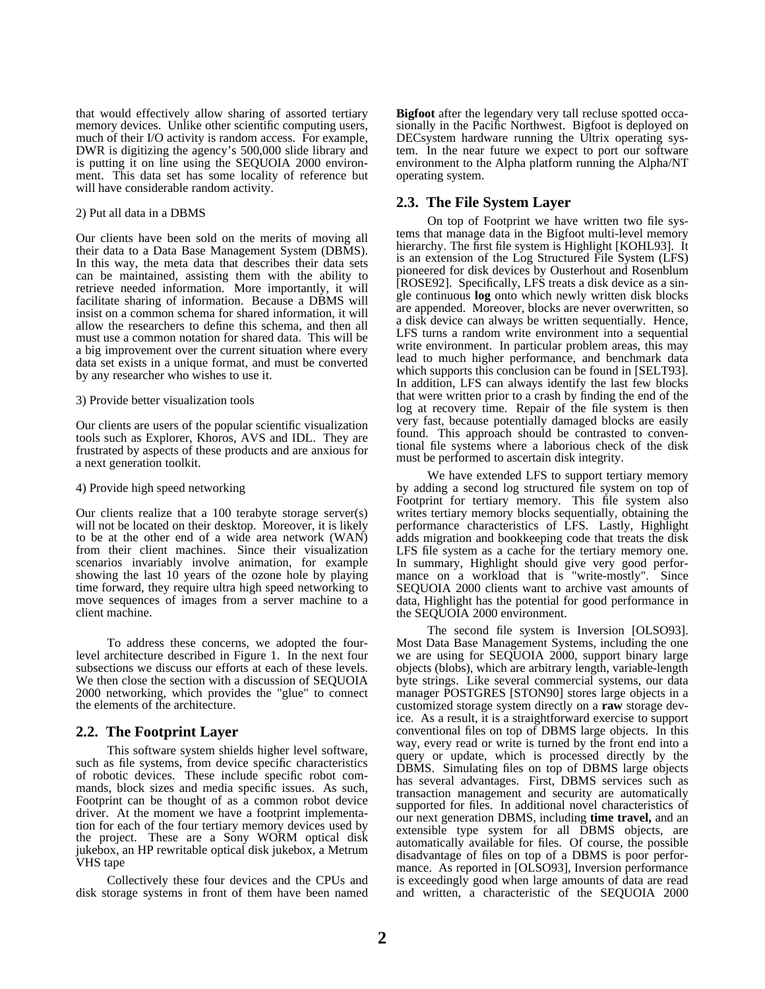that would effectively allow sharing of assorted tertiary memory devices. Unlike other scientific computing users, much of their I/O activity is random access. For example, DWR is digitizing the agency's 500,000 slide library and is putting it on line using the SEQUOIA 2000 environment. This data set has some locality of reference but will have considerable random activity.

#### 2) Put all data in a DBMS

Our clients have been sold on the merits of moving all their data to a Data Base Management System (DBMS). In this way, the meta data that describes their data sets can be maintained, assisting them with the ability to retrieve needed information. More importantly, it will facilitate sharing of information. Because a DBMS will insist on a common schema for shared information, it will allow the researchers to define this schema, and then all must use a common notation for shared data. This will be a big improvement over the current situation where every data set exists in a unique format, and must be converted by any researcher who wishes to use it.

3) Provide better visualization tools

Our clients are users of the popular scientific visualization tools such as Explorer, Khoros, AVS and IDL. They are frustrated by aspects of these products and are anxious for a next generation toolkit.

#### 4) Provide high speed networking

Our clients realize that a 100 terabyte storage server(s) will not be located on their desktop. Moreover, it is likely to be at the other end of a wide area network (WAN) from their client machines. Since their visualization scenarios invariably involve animation, for example showing the last 10 years of the ozone hole by playing time forward, they require ultra high speed networking to move sequences of images from a server machine to a client machine.

To address these concerns, we adopted the fourlevel architecture described in Figure 1. In the next four subsections we discuss our efforts at each of these levels. We then close the section with a discussion of SEQUOIA 2000 networking, which provides the "glue" to connect the elements of the architecture.

# **2.2. The Footprint Layer**

This software system shields higher level software, such as file systems, from device specific characteristics of robotic devices. These include specific robot commands, block sizes and media specific issues. As such, Footprint can be thought of as a common robot device driver. At the moment we have a footprint implementation for each of the four tertiary memory devices used by the project. These are a Sony WORM optical disk jukebox, an HP rewritable optical disk jukebox, a Metrum VHS tape

Collectively these four devices and the CPUs and disk storage systems in front of them have been named **Bigfoot** after the legendary very tall recluse spotted occasionally in the Pacific Northwest. Bigfoot is deployed on DECsystem hardware running the Ultrix operating system. In the near future we expect to port our software environment to the Alpha platform running the Alpha/NT operating system.

## **2.3. The File System Layer**

On top of Footprint we have written two file systems that manage data in the Bigfoot multi-level memory hierarchy. The first file system is Highlight [KOHL93]. It is an extension of the Log Structured File System (LFS) pioneered for disk devices by Ousterhout and Rosenblum [ROSE92]. Specifically, LFS treats a disk device as a single continuous **log** onto which newly written disk blocks are appended. Moreover, blocks are never overwritten, so a disk device can always be written sequentially. Hence, LFS turns a random write environment into a sequential write environment. In particular problem areas, this may lead to much higher performance, and benchmark data which supports this conclusion can be found in [SELT93]. In addition, LFS can always identify the last few blocks that were written prior to a crash by finding the end of the log at recovery time. Repair of the file system is then very fast, because potentially damaged blocks are easily found. This approach should be contrasted to conventional file systems where a laborious check of the disk must be performed to ascertain disk integrity.

We have extended LFS to support tertiary memory by adding a second log structured file system on top of Footprint for tertiary memory. This file system also writes tertiary memory blocks sequentially, obtaining the performance characteristics of LFS. Lastly, Highlight adds migration and bookkeeping code that treats the disk LFS file system as a cache for the tertiary memory one. In summary, Highlight should give very good performance on a workload that is "write-mostly". Since SEQUOIA 2000 clients want to archive vast amounts of data, Highlight has the potential for good performance in the SEQUOIA 2000 environment.

The second file system is Inversion [OLSO93]. Most Data Base Management Systems, including the one we are using for SEQUOIA 2000, support binary large objects (blobs), which are arbitrary length, variable-length byte strings. Like several commercial systems, our data manager POSTGRES [STON90] stores large objects in a customized storage system directly on a **raw** storage device. As a result, it is a straightforward exercise to support conventional files on top of DBMS large objects. In this way, every read or write is turned by the front end into a query or update, which is processed directly by the DBMS. Simulating files on top of DBMS large objects has several advantages. First, DBMS services such as transaction management and security are automatically supported for files. In additional novel characteristics of our next generation DBMS, including **time travel,** and an extensible type system for all DBMS objects, are automatically available for files. Of course, the possible disadvantage of files on top of a DBMS is poor performance. As reported in [OLSO93], Inversion performance is exceedingly good when large amounts of data are read and written, a characteristic of the SEQUOIA 2000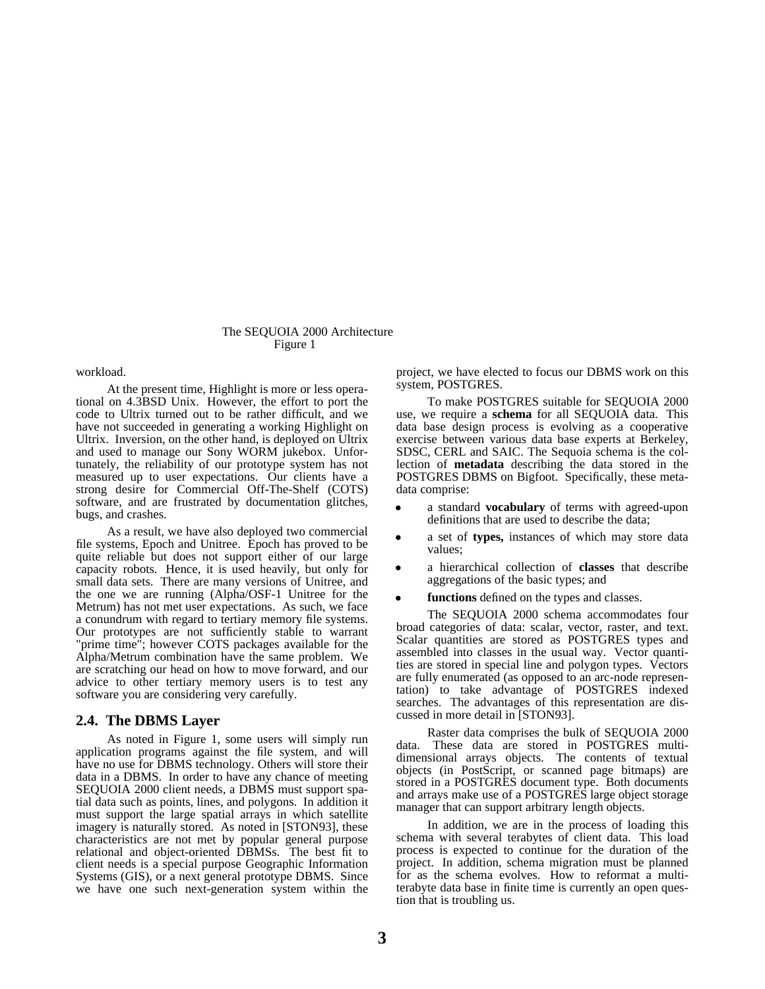#### The SEQUOIA 2000 Architecture Figure 1

#### workload.

At the present time, Highlight is more or less operational on 4.3BSD Unix. However, the effort to port the code to Ultrix turned out to be rather difficult, and we have not succeeded in generating a working Highlight on Ultrix. Inversion, on the other hand, is deployed on Ultrix and used to manage our Sony WORM jukebox. Unfortunately, the reliability of our prototype system has not measured up to user expectations. Our clients have a strong desire for Commercial Off-The-Shelf (COTS) software, and are frustrated by documentation glitches, bugs, and crashes.

As a result, we have also deployed two commercial file systems, Epoch and Unitree. Epoch has proved to be quite reliable but does not support either of our large capacity robots. Hence, it is used heavily, but only for small data sets. There are many versions of Unitree, and the one we are running (Alpha/OSF-1 Unitree for the Metrum) has not met user expectations. As such, we face a conundrum with regard to tertiary memory file systems. Our prototypes are not sufficiently stable to warrant "prime time"; however COTS packages available for the Alpha/Metrum combination have the same problem. We are scratching our head on how to move forward, and our advice to other tertiary memory users is to test any software you are considering very carefully.

## **2.4. The DBMS Layer**

As noted in Figure 1, some users will simply run application programs against the file system, and will have no use for DBMS technology. Others will store their data in a DBMS. In order to have any chance of meeting SEQUOIA 2000 client needs, a DBMS must support spatial data such as points, lines, and polygons. In addition it must support the large spatial arrays in which satellite imagery is naturally stored. As noted in [STON93], these characteristics are not met by popular general purpose relational and object-oriented DBMSs. The best fit to client needs is a special purpose Geographic Information Systems (GIS), or a next general prototype DBMS. Since we have one such next-generation system within the project, we have elected to focus our DBMS work on this system, POSTGRES.

To make POSTGRES suitable for SEQUOIA 2000 use, we require a **schema** for all SEQUOIA data. This data base design process is evolving as a cooperative exercise between various data base experts at Berkeley, SDSC, CERL and SAIC. The Sequoia schema is the collection of **metadata** describing the data stored in the POSTGRES DBMS on Bigfoot. Specifically, these metadata comprise:

- g a standard **vocabulary** of terms with agreed-upon definitions that are used to describe the data;
- g a set of **types,** instances of which may store data values;
- g a hierarchical collection of **classes** that describe aggregations of the basic types; and
- functions defined on the types and classes.

The SEQUOIA 2000 schema accommodates four broad categories of data: scalar, vector, raster, and text. Scalar quantities are stored as POSTGRES types and assembled into classes in the usual way. Vector quantities are stored in special line and polygon types. Vectors are fully enumerated (as opposed to an arc-node representation) to take advantage of POSTGRES indexed searches. The advantages of this representation are discussed in more detail in [STON93].

Raster data comprises the bulk of SEQUOIA 2000 data. These data are stored in POSTGRES multidimensional arrays objects. The contents of textual objects (in PostScript, or scanned page bitmaps) are stored in a POSTGRES document type. Both documents and arrays make use of a POSTGRES large object storage manager that can support arbitrary length objects.

In addition, we are in the process of loading this schema with several terabytes of client data. This load process is expected to continue for the duration of the project. In addition, schema migration must be planned for as the schema evolves. How to reformat a multiterabyte data base in finite time is currently an open question that is troubling us.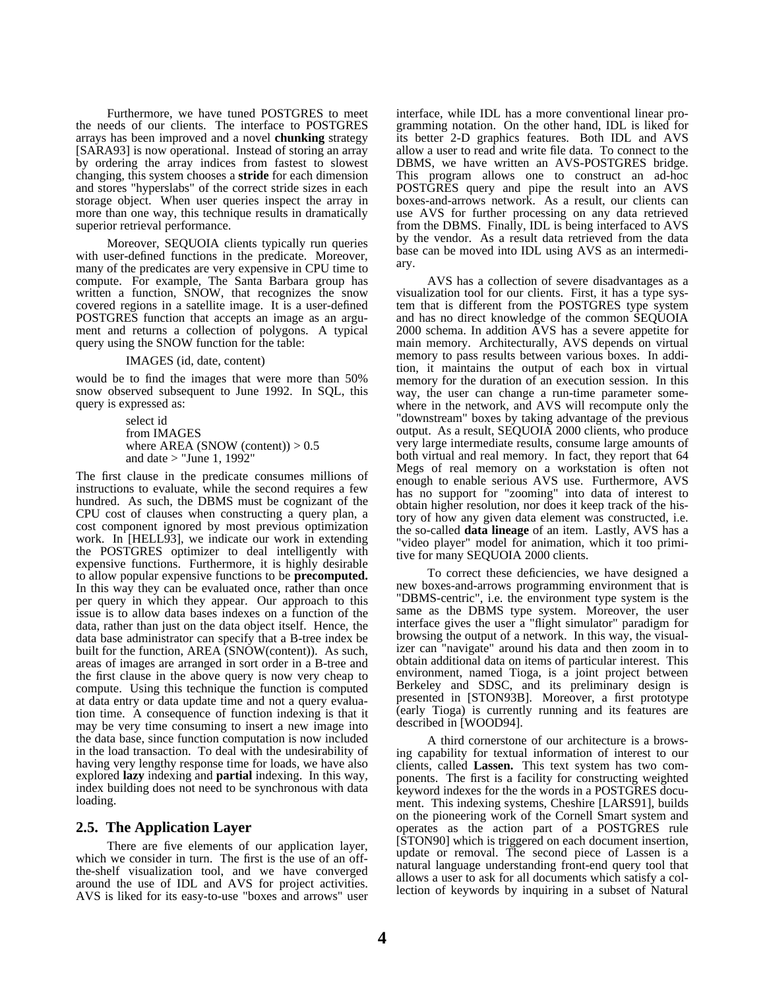Furthermore, we have tuned POSTGRES to meet the needs of our clients. The interface to POSTGRES arrays has been improved and a novel **chunking** strategy [SARA93] is now operational. Instead of storing an array by ordering the array indices from fastest to slowest changing, this system chooses a **stride** for each dimension and stores "hyperslabs" of the correct stride sizes in each storage object. When user queries inspect the array in more than one way, this technique results in dramatically superior retrieval performance.

Moreover, SEQUOIA clients typically run queries with user-defined functions in the predicate. Moreover, many of the predicates are very expensive in CPU time to compute. For example, The Santa Barbara group has written a function, SNOW, that recognizes the snow covered regions in a satellite image. It is a user-defined POSTGRES function that accepts an image as an argument and returns a collection of polygons. A typical query using the SNOW function for the table:

#### IMAGES (id, date, content)

would be to find the images that were more than 50% snow observed subsequent to June 1992. In SQL, this query is expressed as:

> select id from IMAGES where AREA (SNOW (content))  $> 0.5$ and date > "June 1, 1992"

The first clause in the predicate consumes millions of instructions to evaluate, while the second requires a few hundred. As such, the DBMS must be cognizant of the CPU cost of clauses when constructing a query plan, a cost component ignored by most previous optimization work. In [HELL93], we indicate our work in extending the POSTGRES optimizer to deal intelligently with expensive functions. Furthermore, it is highly desirable to allow popular expensive functions to be **precomputed.** In this way they can be evaluated once, rather than once per query in which they appear. Our approach to this issue is to allow data bases indexes on a function of the data, rather than just on the data object itself. Hence, the data base administrator can specify that a B-tree index be built for the function, AREA (SNOW(content)). As such, areas of images are arranged in sort order in a B-tree and the first clause in the above query is now very cheap to compute. Using this technique the function is computed at data entry or data update time and not a query evaluation time. A consequence of function indexing is that it may be very time consuming to insert a new image into the data base, since function computation is now included in the load transaction. To deal with the undesirability of having very lengthy response time for loads, we have also explored **lazy** indexing and **partial** indexing. In this way, index building does not need to be synchronous with data loading.

## **2.5. The Application Layer**

There are five elements of our application layer, which we consider in turn. The first is the use of an offthe-shelf visualization tool, and we have converged around the use of IDL and AVS for project activities. AVS is liked for its easy-to-use "boxes and arrows" user interface, while IDL has a more conventional linear programming notation. On the other hand, IDL is liked for its better 2-D graphics features. Both IDL and AVS allow a user to read and write file data. To connect to the DBMS, we have written an AVS-POSTGRES bridge. This program allows one to construct an ad-hoc POSTGRES query and pipe the result into an AVS boxes-and-arrows network. As a result, our clients can use AVS for further processing on any data retrieved from the DBMS. Finally, IDL is being interfaced to AVS by the vendor. As a result data retrieved from the data base can be moved into IDL using AVS as an intermediary.

AVS has a collection of severe disadvantages as a visualization tool for our clients. First, it has a type system that is different from the POSTGRES type system and has no direct knowledge of the common SEQUOIA 2000 schema. In addition AVS has a severe appetite for main memory. Architecturally, AVS depends on virtual memory to pass results between various boxes. In addition, it maintains the output of each box in virtual memory for the duration of an execution session. In this way, the user can change a run-time parameter somewhere in the network, and AVS will recompute only the "downstream" boxes by taking advantage of the previous output. As a result, SEQUOIA 2000 clients, who produce very large intermediate results, consume large amounts of both virtual and real memory. In fact, they report that 64 Megs of real memory on a workstation is often not enough to enable serious AVS use. Furthermore, AVS has no support for "zooming" into data of interest to obtain higher resolution, nor does it keep track of the history of how any given data element was constructed, i.e. the so-called **data lineage** of an item. Lastly, AVS has a "video player" model for animation, which it too primitive for many SEQUOIA 2000 clients.

To correct these deficiencies, we have designed a new boxes-and-arrows programming environment that is "DBMS-centric", i.e. the environment type system is the same as the DBMS type system. Moreover, the user interface gives the user a "flight simulator" paradigm for browsing the output of a network. In this way, the visualizer can "navigate" around his data and then zoom in to obtain additional data on items of particular interest. This environment, named Tioga, is a joint project between Berkeley and SDSC, and its preliminary design is presented in [STON93B]. Moreover, a first prototype (early Tioga) is currently running and its features are described in [WOOD94].

A third cornerstone of our architecture is a browsing capability for textual information of interest to our clients, called **Lassen.** This text system has two components. The first is a facility for constructing weighted keyword indexes for the the words in a POSTGRES document. This indexing systems, Cheshire [LARS91], builds on the pioneering work of the Cornell Smart system and operates as the action part of a POSTGRES rule [STON90] which is triggered on each document insertion, update or removal. The second piece of Lassen is a natural language understanding front-end query tool that allows a user to ask for all documents which satisfy a collection of keywords by inquiring in a subset of Natural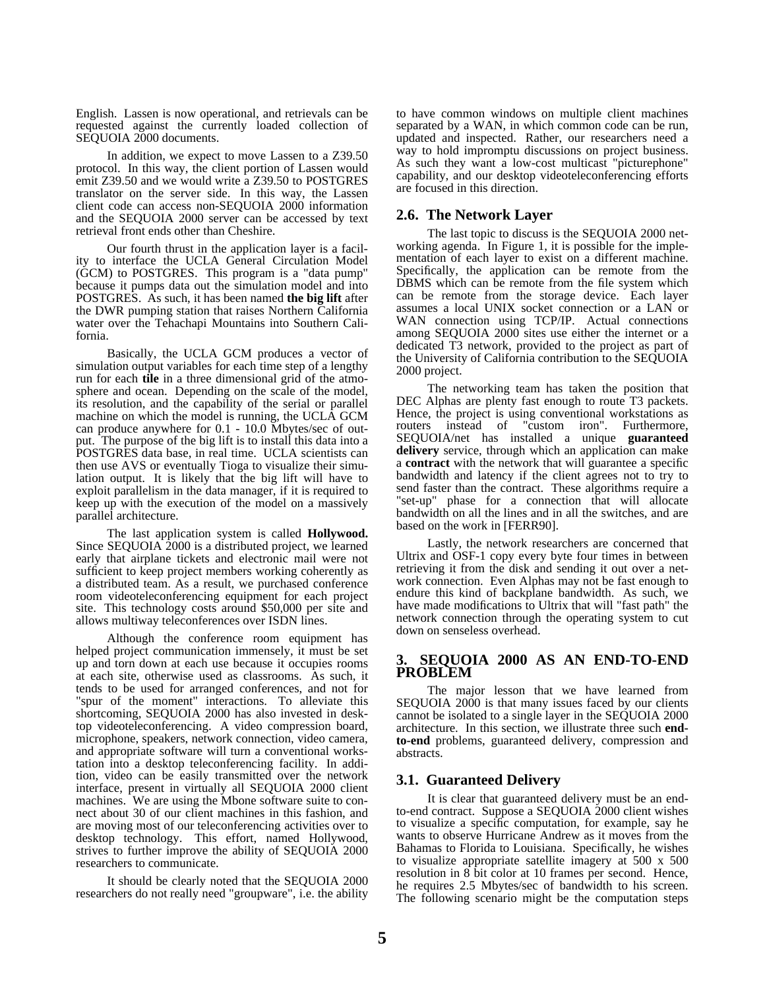English. Lassen is now operational, and retrievals can be requested against the currently loaded collection of SEQUOIA 2000 documents.

In addition, we expect to move Lassen to a Z39.50 protocol. In this way, the client portion of Lassen would emit Z39.50 and we would write a Z39.50 to POSTGRES translator on the server side. In this way, the Lassen client code can access non-SEQUOIA 2000 information and the SEQUOIA 2000 server can be accessed by text retrieval front ends other than Cheshire.

Our fourth thrust in the application layer is a facility to interface the UCLA General Circulation Model (GCM) to POSTGRES. This program is a "data pump" because it pumps data out the simulation model and into POSTGRES. As such, it has been named **the big lift** after the DWR pumping station that raises Northern California water over the Tehachapi Mountains into Southern California.

Basically, the UCLA GCM produces a vector of simulation output variables for each time step of a lengthy run for each **tile** in a three dimensional grid of the atmosphere and ocean. Depending on the scale of the model, its resolution, and the capability of the serial or parallel machine on which the model is running, the UCLA GCM can produce anywhere for 0.1 - 10.0 Mbytes/sec of output. The purpose of the big lift is to install this data into a POSTGRES data base, in real time. UCLA scientists can then use AVS or eventually Tioga to visualize their simulation output. It is likely that the big lift will have to exploit parallelism in the data manager, if it is required to keep up with the execution of the model on a massively parallel architecture.

The last application system is called **Hollywood.** Since SEQUOIA 2000 is a distributed project, we learned early that airplane tickets and electronic mail were not sufficient to keep project members working coherently as a distributed team. As a result, we purchased conference room videoteleconferencing equipment for each project site. This technology costs around \$50,000 per site and allows multiway teleconferences over ISDN lines.

Although the conference room equipment has helped project communication immensely, it must be set up and torn down at each use because it occupies rooms at each site, otherwise used as classrooms. As such, it tends to be used for arranged conferences, and not for "spur of the moment" interactions. To alleviate this shortcoming, SEQUOIA 2000 has also invested in desktop videoteleconferencing. A video compression board, microphone, speakers, network connection, video camera, and appropriate software will turn a conventional workstation into a desktop teleconferencing facility. In addition, video can be easily transmitted over the network interface, present in virtually all SEQUOIA 2000 client machines. We are using the Mbone software suite to connect about 30 of our client machines in this fashion, and are moving most of our teleconferencing activities over to desktop technology. This effort, named Hollywood, strives to further improve the ability of SEQUOIA 2000 researchers to communicate.

It should be clearly noted that the SEQUOIA 2000 researchers do not really need "groupware", i.e. the ability

to have common windows on multiple client machines separated by a WAN, in which common code can be run, updated and inspected. Rather, our researchers need a way to hold impromptu discussions on project business. As such they want a low-cost multicast "picturephone" capability, and our desktop videoteleconferencing efforts are focused in this direction.

## **2.6. The Network Layer**

The last topic to discuss is the SEQUOIA 2000 networking agenda. In Figure 1, it is possible for the implementation of each layer to exist on a different machine. Specifically, the application can be remote from the DBMS which can be remote from the file system which can be remote from the storage device. Each layer assumes a local UNIX socket connection or a LAN or WAN connection using TCP/IP. Actual connections among SEQUOIA 2000 sites use either the internet or a dedicated T3 network, provided to the project as part of the University of California contribution to the SEQUOIA 2000 project.

The networking team has taken the position that DEC Alphas are plenty fast enough to route T3 packets. Hence, the project is using conventional workstations as routers instead of "custom iron". Furthermore, SEQUOIA/net has installed a unique **guaranteed delivery** service, through which an application can make a **contract** with the network that will guarantee a specific bandwidth and latency if the client agrees not to try to send faster than the contract. These algorithms require a "set-up" phase for a connection that will allocate bandwidth on all the lines and in all the switches, and are based on the work in [FERR90].

Lastly, the network researchers are concerned that Ultrix and OSF-1 copy every byte four times in between retrieving it from the disk and sending it out over a network connection. Even Alphas may not be fast enough to endure this kind of backplane bandwidth. As such, we have made modifications to Ultrix that will "fast path" the network connection through the operating system to cut down on senseless overhead.

## **3. SEQUOIA 2000 AS AN END-TO-END PROBLEM**

The major lesson that we have learned from SEQUOIA 2000 is that many issues faced by our clients cannot be isolated to a single layer in the SEQUOIA 2000 architecture. In this section, we illustrate three such **endto-end** problems, guaranteed delivery, compression and abstracts.

### **3.1. Guaranteed Delivery**

It is clear that guaranteed delivery must be an endto-end contract. Suppose a SEQUOIA 2000 client wishes to visualize a specific computation, for example, say he wants to observe Hurricane Andrew as it moves from the Bahamas to Florida to Louisiana. Specifically, he wishes to visualize appropriate satellite imagery at 500 x 500 resolution in 8 bit color at 10 frames per second. Hence, he requires 2.5 Mbytes/sec of bandwidth to his screen. The following scenario might be the computation steps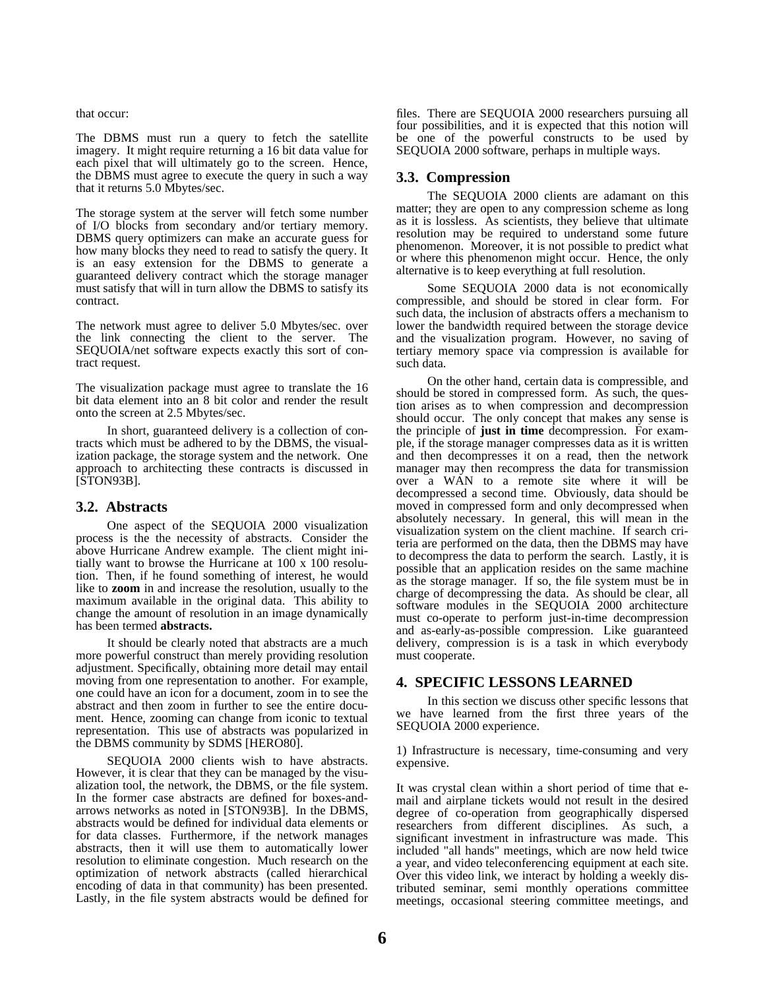that occur:

The DBMS must run a query to fetch the satellite imagery. It might require returning a 16 bit data value for each pixel that will ultimately go to the screen. Hence, the DBMS must agree to execute the query in such a way that it returns 5.0 Mbytes/sec.

The storage system at the server will fetch some number of I/O blocks from secondary and/or tertiary memory. DBMS query optimizers can make an accurate guess for how many blocks they need to read to satisfy the query. It is an easy extension for the DBMS to generate a guaranteed delivery contract which the storage manager must satisfy that will in turn allow the DBMS to satisfy its contract.

The network must agree to deliver 5.0 Mbytes/sec. over the link connecting the client to the server. The SEQUOIA/net software expects exactly this sort of contract request.

The visualization package must agree to translate the 16 bit data element into an 8 bit color and render the result onto the screen at 2.5 Mbytes/sec.

In short, guaranteed delivery is a collection of contracts which must be adhered to by the DBMS, the visualization package, the storage system and the network. One approach to architecting these contracts is discussed in [STON93B].

## **3.2. Abstracts**

One aspect of the SEQUOIA 2000 visualization process is the the necessity of abstracts. Consider the above Hurricane Andrew example. The client might initially want to browse the Hurricane at 100 x 100 resolution. Then, if he found something of interest, he would like to **zoom** in and increase the resolution, usually to the maximum available in the original data. This ability to change the amount of resolution in an image dynamically has been termed **abstracts.**

It should be clearly noted that abstracts are a much more powerful construct than merely providing resolution adjustment. Specifically, obtaining more detail may entail moving from one representation to another. For example, one could have an icon for a document, zoom in to see the abstract and then zoom in further to see the entire document. Hence, zooming can change from iconic to textual representation. This use of abstracts was popularized in the DBMS community by SDMS [HERO80].

SEQUOIA 2000 clients wish to have abstracts. However, it is clear that they can be managed by the visualization tool, the network, the DBMS, or the file system. In the former case abstracts are defined for boxes-andarrows networks as noted in [STON93B]. In the DBMS, abstracts would be defined for individual data elements or for data classes. Furthermore, if the network manages abstracts, then it will use them to automatically lower resolution to eliminate congestion. Much research on the optimization of network abstracts (called hierarchical encoding of data in that community) has been presented. Lastly, in the file system abstracts would be defined for

files. There are SEQUOIA 2000 researchers pursuing all four possibilities, and it is expected that this notion will be one of the powerful constructs to be used by SEQUOIA 2000 software, perhaps in multiple ways.

# **3.3. Compression**

The SEQUOIA 2000 clients are adamant on this matter; they are open to any compression scheme as long as it is lossless. As scientists, they believe that ultimate resolution may be required to understand some future phenomenon. Moreover, it is not possible to predict what or where this phenomenon might occur. Hence, the only alternative is to keep everything at full resolution.

Some SEQUOIA 2000 data is not economically compressible, and should be stored in clear form. For such data, the inclusion of abstracts offers a mechanism to lower the bandwidth required between the storage device and the visualization program. However, no saving of tertiary memory space via compression is available for such data.

On the other hand, certain data is compressible, and should be stored in compressed form. As such, the question arises as to when compression and decompression should occur. The only concept that makes any sense is the principle of **just in time** decompression. For example, if the storage manager compresses data as it is written and then decompresses it on a read, then the network manager may then recompress the data for transmission over a WAN to a remote site where it will be decompressed a second time. Obviously, data should be moved in compressed form and only decompressed when absolutely necessary. In general, this will mean in the visualization system on the client machine. If search criteria are performed on the data, then the DBMS may have to decompress the data to perform the search. Lastly, it is possible that an application resides on the same machine as the storage manager. If so, the file system must be in charge of decompressing the data. As should be clear, all software modules in the SEQUOIA 2000 architecture must co-operate to perform just-in-time decompression and as-early-as-possible compression. Like guaranteed delivery, compression is is a task in which everybody must cooperate.

# **4. SPECIFIC LESSONS LEARNED**

In this section we discuss other specific lessons that we have learned from the first three years of the SEQUOIA 2000 experience.

1) Infrastructure is necessary, time-consuming and very expensive.

It was crystal clean within a short period of time that email and airplane tickets would not result in the desired degree of co-operation from geographically dispersed researchers from different disciplines. As such, a significant investment in infrastructure was made. This included "all hands" meetings, which are now held twice a year, and video teleconferencing equipment at each site. Over this video link, we interact by holding a weekly distributed seminar, semi monthly operations committee meetings, occasional steering committee meetings, and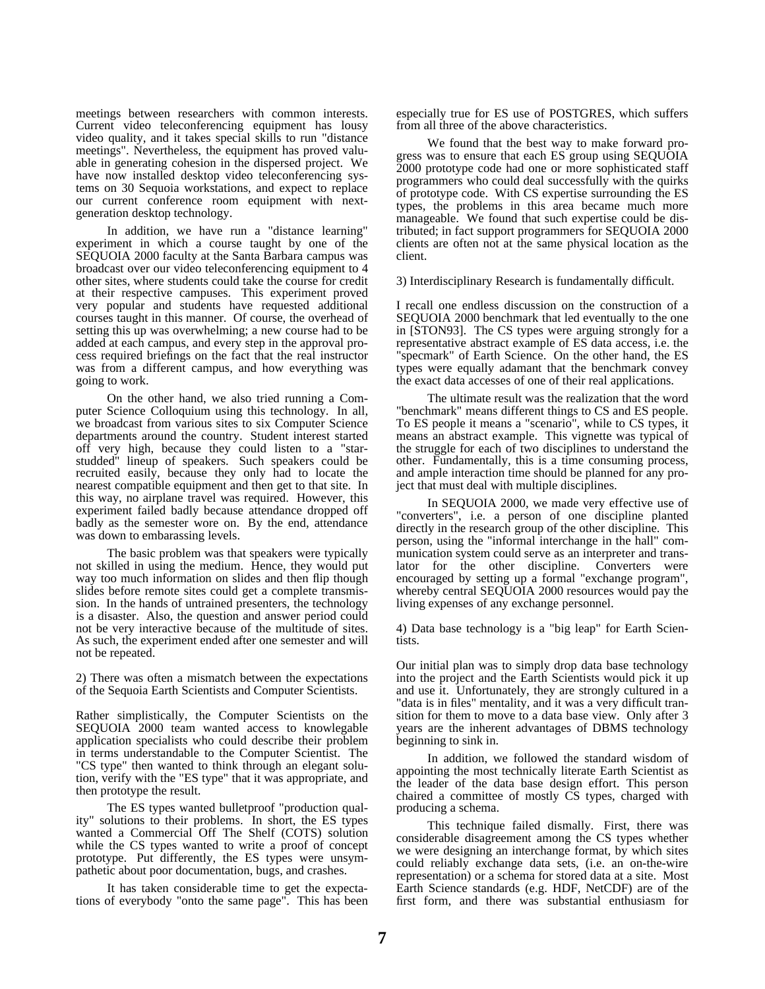meetings between researchers with common interests. Current video teleconferencing equipment has lousy video quality, and it takes special skills to run "distance meetings". Nevertheless, the equipment has proved valuable in generating cohesion in the dispersed project. We have now installed desktop video teleconferencing systems on 30 Sequoia workstations, and expect to replace our current conference room equipment with nextgeneration desktop technology.

In addition, we have run a "distance learning" experiment in which a course taught by one of the SEQUOIA 2000 faculty at the Santa Barbara campus was broadcast over our video teleconferencing equipment to 4 other sites, where students could take the course for credit at their respective campuses. This experiment proved very popular and students have requested additional courses taught in this manner. Of course, the overhead of setting this up was overwhelming; a new course had to be added at each campus, and every step in the approval process required briefings on the fact that the real instructor was from a different campus, and how everything was going to work.

On the other hand, we also tried running a Computer Science Colloquium using this technology. In all, we broadcast from various sites to six Computer Science departments around the country. Student interest started off very high, because they could listen to a "starstudded" lineup of speakers. Such speakers could be recruited easily, because they only had to locate the nearest compatible equipment and then get to that site. In this way, no airplane travel was required. However, this experiment failed badly because attendance dropped off badly as the semester wore on. By the end, attendance was down to embarassing levels.

The basic problem was that speakers were typically not skilled in using the medium. Hence, they would put way too much information on slides and then flip though slides before remote sites could get a complete transmission. In the hands of untrained presenters, the technology is a disaster. Also, the question and answer period could not be very interactive because of the multitude of sites. As such, the experiment ended after one semester and will not be repeated.

2) There was often a mismatch between the expectations of the Sequoia Earth Scientists and Computer Scientists.

Rather simplistically, the Computer Scientists on the SEQUOIA 2000 team wanted access to knowlegable application specialists who could describe their problem in terms understandable to the Computer Scientist. The "CS type" then wanted to think through an elegant solution, verify with the "ES type" that it was appropriate, and then prototype the result.

The ES types wanted bulletproof "production quality" solutions to their problems. In short, the ES types wanted a Commercial Off The Shelf (COTS) solution while the CS types wanted to write a proof of concept prototype. Put differently, the ES types were unsympathetic about poor documentation, bugs, and crashes.

It has taken considerable time to get the expectations of everybody "onto the same page". This has been especially true for ES use of POSTGRES, which suffers from all three of the above characteristics.

We found that the best way to make forward progress was to ensure that each ES group using SEQUOIA 2000 prototype code had one or more sophisticated staff programmers who could deal successfully with the quirks of prototype code. With CS expertise surrounding the ES types, the problems in this area became much more manageable. We found that such expertise could be distributed; in fact support programmers for SEQUOIA 2000 clients are often not at the same physical location as the client.

3) Interdisciplinary Research is fundamentally difficult.

I recall one endless discussion on the construction of a SEQUOIA 2000 benchmark that led eventually to the one in [STON93]. The CS types were arguing strongly for a representative abstract example of ES data access, i.e. the specmark" of Earth Science. On the other hand, the ES types were equally adamant that the benchmark convey the exact data accesses of one of their real applications.

The ultimate result was the realization that the word "benchmark" means different things to CS and ES people. To ES people it means a "scenario", while to CS types, it means an abstract example. This vignette was typical of the struggle for each of two disciplines to understand the other. Fundamentally, this is a time consuming process, and ample interaction time should be planned for any project that must deal with multiple disciplines.

In SEQUOIA 2000, we made very effective use of "converters", i.e. a person of one discipline planted directly in the research group of the other discipline. This person, using the "informal interchange in the hall" communication system could serve as an interpreter and translator for the other discipline. Converters were encouraged by setting up a formal "exchange program", whereby central SEQUOIA 2000 resources would pay the living expenses of any exchange personnel.

4) Data base technology is a "big leap" for Earth Scientists.

Our initial plan was to simply drop data base technology into the project and the Earth Scientists would pick it up and use it. Unfortunately, they are strongly cultured in a "data is in files" mentality, and it was a very difficult transition for them to move to a data base view. Only after 3 years are the inherent advantages of DBMS technology beginning to sink in.

In addition, we followed the standard wisdom of appointing the most technically literate Earth Scientist as the leader of the data base design effort. This person chaired a committee of mostly CS types, charged with producing a schema.

This technique failed dismally. First, there was considerable disagreement among the CS types whether we were designing an interchange format, by which sites could reliably exchange data sets, (i.e. an on-the-wire representation) or a schema for stored data at a site. Most Earth Science standards (e.g. HDF, NetCDF) are of the first form, and there was substantial enthusiasm for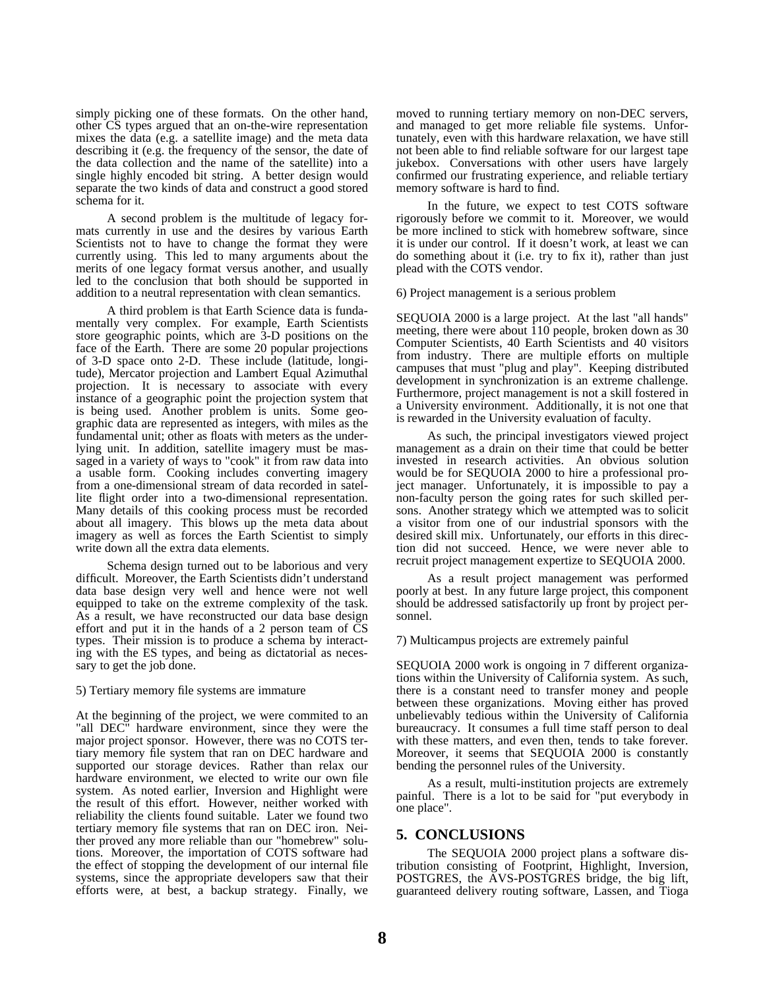simply picking one of these formats. On the other hand, other CS types argued that an on-the-wire representation mixes the data (e.g. a satellite image) and the meta data describing it (e.g. the frequency of the sensor, the date of the data collection and the name of the satellite) into a single highly encoded bit string. A better design would separate the two kinds of data and construct a good stored schema for it.

A second problem is the multitude of legacy formats currently in use and the desires by various Earth Scientists not to have to change the format they were currently using. This led to many arguments about the merits of one legacy format versus another, and usually led to the conclusion that both should be supported in addition to a neutral representation with clean semantics.

A third problem is that Earth Science data is fundamentally very complex. For example, Earth Scientists store geographic points, which are 3-D positions on the face of the Earth. There are some 20 popular projections of 3-D space onto 2-D. These include (latitude, longitude), Mercator projection and Lambert Equal Azimuthal projection. It is necessary to associate with every instance of a geographic point the projection system that is being used. Another problem is units. Some geographic data are represented as integers, with miles as the fundamental unit; other as floats with meters as the underlying unit. In addition, satellite imagery must be massaged in a variety of ways to "cook" it from raw data into a usable form. Cooking includes converting imagery from a one-dimensional stream of data recorded in satellite flight order into a two-dimensional representation. Many details of this cooking process must be recorded about all imagery. This blows up the meta data about imagery as well as forces the Earth Scientist to simply write down all the extra data elements.

Schema design turned out to be laborious and very difficult. Moreover, the Earth Scientists didn't understand data base design very well and hence were not well equipped to take on the extreme complexity of the task. As a result, we have reconstructed our data base design effort and put it in the hands of a 2 person team of CS types. Their mission is to produce a schema by interacting with the ES types, and being as dictatorial as necessary to get the job done.

#### 5) Tertiary memory file systems are immature

At the beginning of the project, we were commited to an "all DEC" hardware environment, since they were the major project sponsor. However, there was no COTS tertiary memory file system that ran on DEC hardware and supported our storage devices. Rather than relax our hardware environment, we elected to write our own file system. As noted earlier, Inversion and Highlight were the result of this effort. However, neither worked with reliability the clients found suitable. Later we found two tertiary memory file systems that ran on DEC iron. Neither proved any more reliable than our "homebrew" solutions. Moreover, the importation of COTS software had the effect of stopping the development of our internal file systems, since the appropriate developers saw that their efforts were, at best, a backup strategy. Finally, we

moved to running tertiary memory on non-DEC servers, and managed to get more reliable file systems. Unfortunately, even with this hardware relaxation, we have still not been able to find reliable software for our largest tape jukebox. Conversations with other users have largely confirmed our frustrating experience, and reliable tertiary memory software is hard to find.

In the future, we expect to test COTS software rigorously before we commit to it. Moreover, we would be more inclined to stick with homebrew software, since it is under our control. If it doesn't work, at least we can do something about it (i.e. try to fix it), rather than just plead with the COTS vendor.

6) Project management is a serious problem

SEQUOIA 2000 is a large project. At the last "all hands" meeting, there were about 110 people, broken down as 30 Computer Scientists, 40 Earth Scientists and 40 visitors from industry. There are multiple efforts on multiple campuses that must "plug and play". Keeping distributed development in synchronization is an extreme challenge. Furthermore, project management is not a skill fostered in a University environment. Additionally, it is not one that is rewarded in the University evaluation of faculty.

As such, the principal investigators viewed project management as a drain on their time that could be better invested in research activities. An obvious solution would be for SEQUOIA 2000 to hire a professional project manager. Unfortunately, it is impossible to pay a non-faculty person the going rates for such skilled persons. Another strategy which we attempted was to solicit a visitor from one of our industrial sponsors with the desired skill mix. Unfortunately, our efforts in this direction did not succeed. Hence, we were never able to recruit project management expertize to SEQUOIA 2000.

As a result project management was performed poorly at best. In any future large project, this component should be addressed satisfactorily up front by project personnel.

#### 7) Multicampus projects are extremely painful

SEQUOIA 2000 work is ongoing in 7 different organizations within the University of California system. As such, there is a constant need to transfer money and people between these organizations. Moving either has proved unbelievably tedious within the University of California bureaucracy. It consumes a full time staff person to deal with these matters, and even then, tends to take forever. Moreover, it seems that SEQUOIA 2000 is constantly bending the personnel rules of the University.

As a result, multi-institution projects are extremely painful. There is a lot to be said for "put everybody in one place".

### **5. CONCLUSIONS**

The SEQUOIA 2000 project plans a software distribution consisting of Footprint, Highlight, Inversion, POSTGRES, the AVS-POSTGRES bridge, the big lift, guaranteed delivery routing software, Lassen, and Tioga